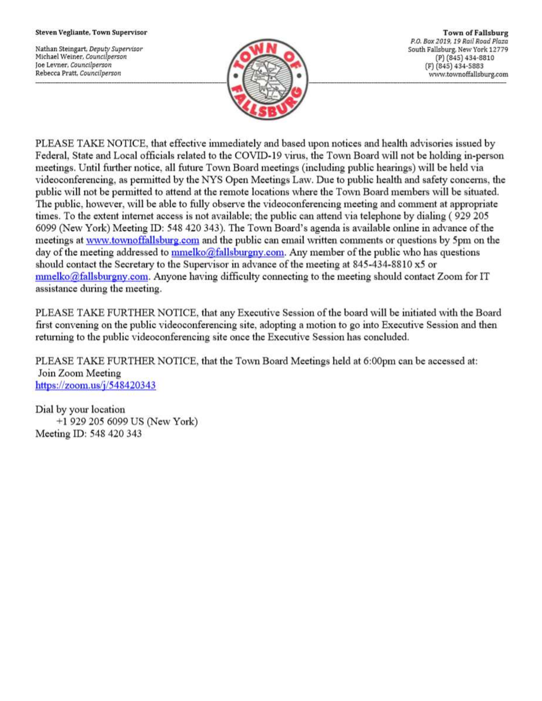#### Steven Vegliante, Town Supervisor

Nathan Steingart, Deputy Supervisor Michael Weiner, Councilperson Joe Levner, Councilperson Rebecca Pratt, Councilperson



**Town of Fallsburg** P.O. Box 2019, 19 Rail Road Plaza South Fallsburg, New York 12779 (P) (845) 434-8810 (F) (845) 434-5883 www.townoffallsburg.com

PLEASE TAKE NOTICE, that effective immediately and based upon notices and health advisories issued by Federal, State and Local officials related to the COVID-19 virus, the Town Board will not be holding in-person meetings. Until further notice, all future Town Board meetings (including public hearings) will be held via videoconferencing, as permitted by the NYS Open Meetings Law. Due to public health and safety concerns, the public will not be permitted to attend at the remote locations where the Town Board members will be situated. The public, however, will be able to fully observe the videoconferencing meeting and comment at appropriate times. To the extent internet access is not available; the public can attend via telephone by dialing (929 205 6099 (New York) Meeting ID: 548 420 343). The Town Board's agenda is available online in advance of the meetings at www.townoffallsburg.com and the public can email written comments or questions by 5pm on the day of the meeting addressed to mmelko@fallsburgny.com. Any member of the public who has questions should contact the Secretary to the Supervisor in advance of the meeting at 845-434-8810 x5 or  $mmelko@fallsburgny.com$ . Anyone having difficulty connecting to the meeting should contact Zoom for IT assistance during the meeting.

PLEASE TAKE FURTHER NOTICE, that any Executive Session of the board will be initiated with the Board first convening on the public videoconferencing site, adopting a motion to go into Executive Session and then returning to the public videoconferencing site once the Executive Session has concluded.

PLEASE TAKE FURTHER NOTICE, that the Town Board Meetings held at 6:00pm can be accessed at: Join Zoom Meeting https://zoom.us/ $j/548420343$ 

Dial by your location +1 929 205 6099 US (New York) Meeting ID: 548 420 343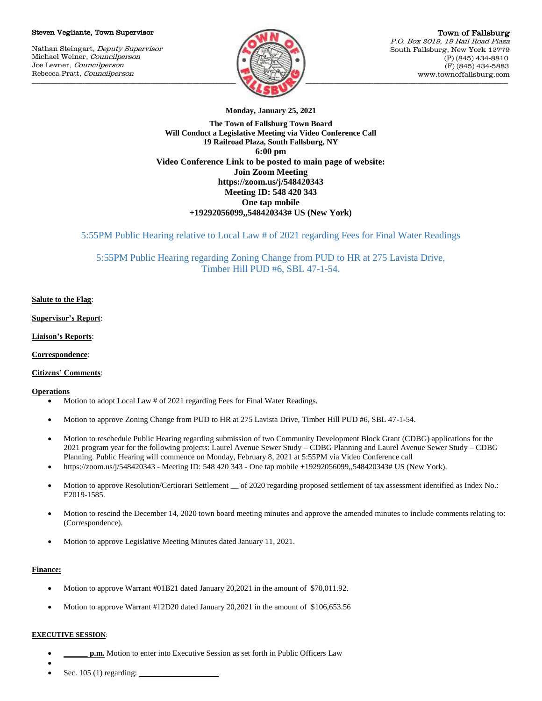#### Steven Vegliante, Town Supervisor

Nathan Steingart, Deputy Supervisor Michael Weiner, Councilperson Joe Levner, Councilperson Rebecca Pratt, Councilperson



**Monday, January 25, 2021**

**The Town of Fallsburg Town Board Will Conduct a Legislative Meeting via Video Conference Call 19 Railroad Plaza, South Fallsburg, NY 6:00 pm Video Conference Link to be posted to main page of website: Join Zoom Meeting https://zoom.us/j/548420343 Meeting ID: 548 420 343 One tap mobile +19292056099,,548420343# US (New York)**

5:55PM Public Hearing relative to Local Law # of 2021 regarding Fees for Final Water Readings

5:55PM Public Hearing regarding Zoning Change from PUD to HR at 275 Lavista Drive, Timber Hill PUD #6, SBL 47-1-54.

# **Salute to the Flag**:

**Supervisor's Report**:

**Liaison's Reports**:

**Correspondence**:

## **Citizens' Comments**:

## **Operations**

- Motion to adopt Local Law # of 2021 regarding Fees for Final Water Readings.
- Motion to approve Zoning Change from PUD to HR at 275 Lavista Drive, Timber Hill PUD #6, SBL 47-1-54.
- Motion to reschedule Public Hearing regarding submission of two Community Development Block Grant (CDBG) applications for the 2021 program year for the following projects: Laurel Avenue Sewer Study – CDBG Planning and Laurel Avenue Sewer Study – CDBG Planning. Public Hearing will commence on Monday, February 8, 2021 at 5:55PM via Video Conference call
- https://zoom.us/j/548420343 Meeting ID: 548 420 343 One tap mobile +19292056099,,548420343# US (New York).
- Motion to approve Resolution/Certiorari Settlement \_ of 2020 regarding proposed settlement of tax assessment identified as Index No.: E2019-1585.
- Motion to rescind the December 14, 2020 town board meeting minutes and approve the amended minutes to include comments relating to: (Correspondence).
- Motion to approve Legislative Meeting Minutes dated January 11, 2021.

## **Finance:**

- Motion to approve Warrant #01B21 dated January 20,2021 in the amount of \$70,011.92.
- Motion to approve Warrant #12D20 dated January 20,2021 in the amount of \$106,653.56

## **EXECUTIVE SESSION**:

- **p.m.** Motion to enter into Executive Session as set forth in Public Officers Law
- $\bullet$ Sec. 105 (1) regarding: